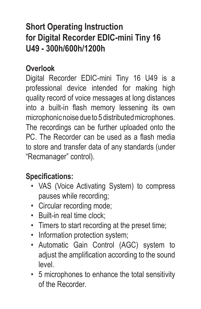# **Short Operating Instruction for Digital Recorder EDIC-mini Tiny 16 U49 - 300h/600h/1200h**

#### **Overlook**

Digital Recorder EDIC-mini Tiny 16 U49 is a professional device intended for making high quality record of voice messages at long distances into a built-in flash memory lessening its own microphonic noise due to 5 distributed microphones. The recordings can be further uploaded onto the PC. The Recorder can be used as a flash media to store and transfer data of any standards (under "Recmanager" control).

#### **Specifications:**

- VAS (Voice Activating System) to compress pauses while recording;
- Circular recording mode;
- Built-in real time clock;
- Timers to start recording at the preset time;
- Information protection system:
- Automatic Gain Control (AGC) system to adjust the amplification according to the sound level.
- 5 microphones to enhance the total sensitivity of the Recorder.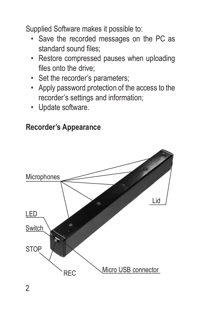Supplied Software makes it possible to:

- Save the recorded messages on the PC as standard sound files;
- Restore compressed pauses when uploading files onto the drive;
- Set the recorder's parameters;
- Apply password protection of the access to the recorder's settings and information;
- Update software.

#### **Recorder's Appearance**

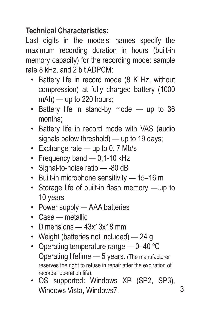### **Technical Characteristics:**

Last digits in the models' names specify the maximum recording duration in hours (built-in memory capacity) for the recording mode: sample rate 8 kHz, and 2 bit ADPCM:

- Battery life in record mode (8 K Hz, without compression) at fully charged battery (1000 mAh) — up to 220 hours;
- Battery life in stand-by mode up to 36 months;
- Battery life in record mode with VAS (audio signals below threshold) — up to 19 days:
- Exchange rate up to 0, 7 Mb/s
- Frequency band 0.1-10 kHz
- Signal-to-noise ratio -80 dB
- Built-in microphone sensitivity 15–16 m
- Storage life of built-in flash memory —.up to 10 years
- Power supply AAA batteries
- Case metallic
- Dimensions 13x13x18 mm
- Weight (batteries not included) 24 g
- Operating temperature range 0-40 °C Operating lifetime — 5 years. (The manufacturer reserves the right to refuse in repair after the expiration of recorder operation life).
- OS supported: Windows XP (SP2, SP3), Windows Vista, Windows7.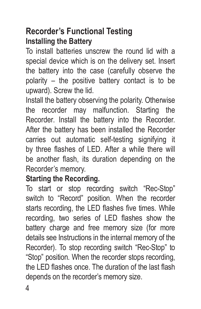## **Recorder's Functional Testing Installing the Battery**

To install batteries unscrew the round lid with a special device which is on the delivery set. Insert the battery into the case (carefully observe the polarity – the positive battery contact is to be upward). Screw the lid.

Install the battery observing the polarity. Otherwise the recorder may malfunction. Starting the Recorder. Install the battery into the Recorder. After the battery has been installed the Recorder carries out automatic self-testing signifying it by three flashes of LED. After a while there will be another flash, its duration depending on the Recorder's memory.

#### **Starting the Recording.**

To start or stop recording switch "Rec-Stop" switch to "Record" position. When the recorder starts recording, the LED flashes five times. While recording, two series of LED flashes show the battery charge and free memory size (for more details see Instructions in the internal memory of the Recorder). To stop recording switch "Rec-Stop" to "Stop" position. When the recorder stops recording, the LED flashes once. The duration of the last flash depends on the recorder's memory size.

4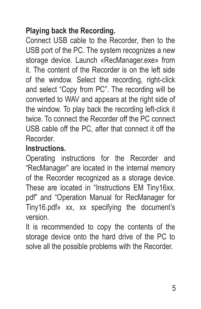#### **Playing back the Recording.**

Connect USB cable to the Recorder, then to the USB port of the PC. The system recognizes a new storage device. Launch «RecManager.exe» from it. The content of the Recorder is on the left side of the window. Select the recording, right-click and select "Copy from PC". The recording will be converted to WAV and appears at the right side of the window. To play back the recording left-click it twice. To connect the Recorder off the PC connect USB cable off the PC, after that connect it off the Recorder.

### **Instructions.**

Operating instructions for the Recorder and "RecManager" are located in the internal memory of the Recorder recognized as a storage device. These are located in "Instructions EM Tiny16xx. pdf" and "Operation Manual for RecManager for Tiny16.pdf» хх, xx specifying the document's version.

It is recommended to copy the contents of the storage device onto the hard drive of the PC to solve all the possible problems with the Recorder.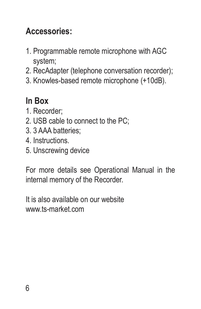# **Accessories:**

- 1. Programmable remote microphone with AGC system;
- 2. RecAdapter (telephone conversation recorder);
- 3. Knowles-based remote microphone (+10dB).

# **In Box**

- 1. Recorder;
- 2. USB cable to connect to the PC;
- 3. 3 AAA batteries;
- 4. Instructions.
- 5. Unscrewing device

For more details see Operational Manual in the internal memory of the Recorder.

It is also available on our website www.ts-market.com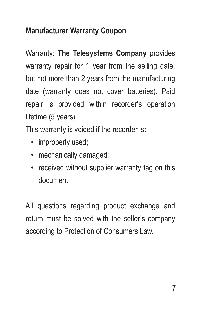#### **Manufacturer Warranty Coupon**

Warranty: **The Telesystems Company** provides warranty repair for 1 year from the selling date, but not more than 2 years from the manufacturing date (warranty does not cover batteries). Paid repair is provided within recorder's operation lifetime (5 years).

This warranty is voided if the recorder is:

- improperly used:
- mechanically damaged;
- received without supplier warranty tag on this document.

All questions regarding product exchange and return must be solved with the seller's company according to Protection of Consumers Law.